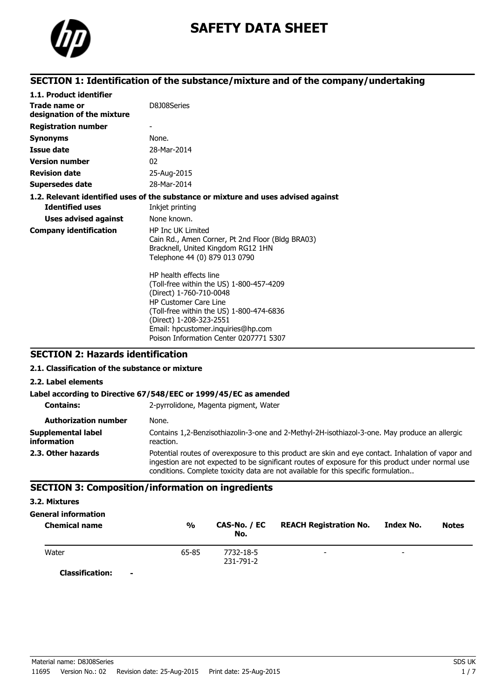

# **SAFETY DATA SHEET**

# **SECTION 1: Identification of the substance/mixture and of the company/undertaking**

| 1.1. Product identifier                     |                                                                                                                                                                                                                                                                                      |
|---------------------------------------------|--------------------------------------------------------------------------------------------------------------------------------------------------------------------------------------------------------------------------------------------------------------------------------------|
| Trade name or<br>designation of the mixture | D8J08Series                                                                                                                                                                                                                                                                          |
| <b>Registration number</b>                  |                                                                                                                                                                                                                                                                                      |
| <b>Synonyms</b>                             | None.                                                                                                                                                                                                                                                                                |
| <b>Issue date</b>                           | 28-Mar-2014                                                                                                                                                                                                                                                                          |
| <b>Version number</b>                       | 02                                                                                                                                                                                                                                                                                   |
| <b>Revision date</b>                        | 25-Aug-2015                                                                                                                                                                                                                                                                          |
| <b>Supersedes date</b>                      | 28-Mar-2014                                                                                                                                                                                                                                                                          |
|                                             | 1.2. Relevant identified uses of the substance or mixture and uses advised against                                                                                                                                                                                                   |
| <b>Identified uses</b>                      | Inkjet printing                                                                                                                                                                                                                                                                      |
| <b>Uses advised against</b>                 | None known.                                                                                                                                                                                                                                                                          |
| <b>Company identification</b>               | <b>HP Inc UK Limited</b><br>Cain Rd., Amen Corner, Pt 2nd Floor (Bldg BRA03)<br>Bracknell, United Kingdom RG12 1HN<br>Telephone 44 (0) 879 013 0790                                                                                                                                  |
|                                             | HP health effects line<br>(Toll-free within the US) 1-800-457-4209<br>(Direct) 1-760-710-0048<br><b>HP Customer Care Line</b><br>(Toll-free within the US) 1-800-474-6836<br>(Direct) 1-208-323-2551<br>Email: hpcustomer.inquiries@hp.com<br>Poison Information Center 0207771 5307 |

## **SECTION 2: Hazards identification**

### **2.1. Classification of the substance or mixture**

**2.2. Label elements**

# **Label according to Directive 67/548/EEC or 1999/45/EC as amended**

| <b>Contains:</b>                  | 2-pyrrolidone, Magenta pigment, Water                                                                                                                                                                                                                                                         |
|-----------------------------------|-----------------------------------------------------------------------------------------------------------------------------------------------------------------------------------------------------------------------------------------------------------------------------------------------|
| <b>Authorization number</b>       | None.                                                                                                                                                                                                                                                                                         |
| Supplemental label<br>information | Contains 1,2-Benzisothiazolin-3-one and 2-Methyl-2H-isothiazol-3-one. May produce an allergic<br>reaction.                                                                                                                                                                                    |
| 2.3. Other hazards                | Potential routes of overexposure to this product are skin and eye contact. Inhalation of vapor and<br>ingestion are not expected to be significant routes of exposure for this product under normal use<br>conditions. Complete toxicity data are not available for this specific formulation |

### **SECTION 3: Composition/information on ingredients**

#### **3.2. Mixtures**

## **General information**

| <b>Chemical name</b>     | $\frac{0}{0}$ | CAS-No. / EC<br>No. | <b>REACH Registration No.</b> | Index No.                | <b>Notes</b> |
|--------------------------|---------------|---------------------|-------------------------------|--------------------------|--------------|
| Water                    | 65-85         | 7732-18-5           | $\overline{\phantom{0}}$      | $\overline{\phantom{0}}$ |              |
| $C = -1C - 1C - 1C - 1C$ |               | 231-791-2           |                               |                          |              |

**Classification: -**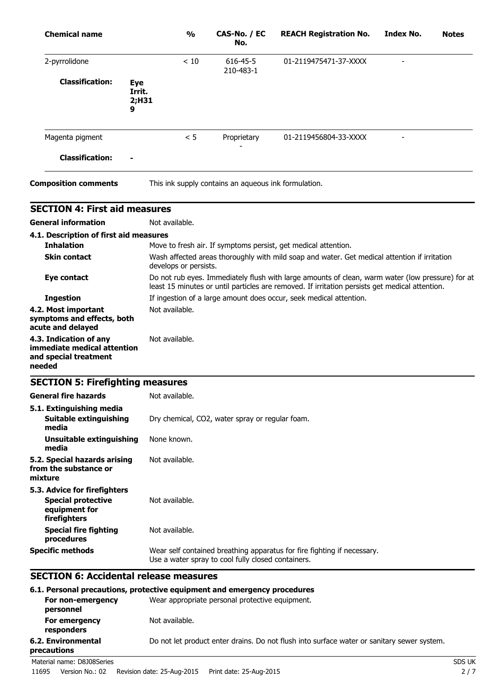| <b>Chemical name</b>                                                                       | $\frac{1}{2}$  | CAS-No. / EC<br>No.                                                                                                   | <b>REACH Registration No.</b>                                                                                                                                                                      | <b>Index No.</b> | <b>Notes</b> |
|--------------------------------------------------------------------------------------------|----------------|-----------------------------------------------------------------------------------------------------------------------|----------------------------------------------------------------------------------------------------------------------------------------------------------------------------------------------------|------------------|--------------|
| 2-pyrrolidone                                                                              | < 10           | 616-45-5<br>210-483-1                                                                                                 | 01-2119475471-37-XXXX                                                                                                                                                                              |                  |              |
| <b>Classification:</b><br><b>Eye</b><br>Irrit.<br>9                                        | 2;H31          |                                                                                                                       |                                                                                                                                                                                                    |                  |              |
| Magenta pigment                                                                            | < 5            | Proprietary                                                                                                           | 01-2119456804-33-XXXX                                                                                                                                                                              |                  |              |
| <b>Classification:</b>                                                                     |                |                                                                                                                       |                                                                                                                                                                                                    |                  |              |
| <b>Composition comments</b>                                                                |                | This ink supply contains an aqueous ink formulation.                                                                  |                                                                                                                                                                                                    |                  |              |
| <b>SECTION 4: First aid measures</b>                                                       |                |                                                                                                                       |                                                                                                                                                                                                    |                  |              |
| <b>General information</b>                                                                 | Not available. |                                                                                                                       |                                                                                                                                                                                                    |                  |              |
| 4.1. Description of first aid measures                                                     |                |                                                                                                                       |                                                                                                                                                                                                    |                  |              |
| <b>Inhalation</b>                                                                          |                |                                                                                                                       | Move to fresh air. If symptoms persist, get medical attention.                                                                                                                                     |                  |              |
| <b>Skin contact</b>                                                                        |                | Wash affected areas thoroughly with mild soap and water. Get medical attention if irritation<br>develops or persists. |                                                                                                                                                                                                    |                  |              |
| Eye contact                                                                                |                |                                                                                                                       | Do not rub eyes. Immediately flush with large amounts of clean, warm water (low pressure) for at<br>least 15 minutes or until particles are removed. If irritation persists get medical attention. |                  |              |
| <b>Ingestion</b>                                                                           |                |                                                                                                                       | If ingestion of a large amount does occur, seek medical attention.                                                                                                                                 |                  |              |
| 4.2. Most important<br>symptoms and effects, both<br>acute and delayed                     | Not available. |                                                                                                                       |                                                                                                                                                                                                    |                  |              |
| 4.3. Indication of any<br>immediate medical attention<br>and special treatment<br>needed   | Not available. |                                                                                                                       |                                                                                                                                                                                                    |                  |              |
| <b>SECTION 5: Firefighting measures</b>                                                    |                |                                                                                                                       |                                                                                                                                                                                                    |                  |              |
| General fire hazards                                                                       | Not available. |                                                                                                                       |                                                                                                                                                                                                    |                  |              |
| 5.1. Extinguishing media<br><b>Suitable extinguishing</b><br>media                         |                | Dry chemical, CO2, water spray or regular foam.                                                                       |                                                                                                                                                                                                    |                  |              |
| <b>Unsuitable extinguishing</b><br>media                                                   | None known.    |                                                                                                                       |                                                                                                                                                                                                    |                  |              |
| 5.2. Special hazards arising<br>from the substance or<br>mixture                           | Not available. |                                                                                                                       |                                                                                                                                                                                                    |                  |              |
| 5.3. Advice for firefighters<br><b>Special protective</b><br>equipment for<br>firefighters | Not available. |                                                                                                                       |                                                                                                                                                                                                    |                  |              |
| <b>Special fire fighting</b><br>procedures                                                 | Not available. |                                                                                                                       |                                                                                                                                                                                                    |                  |              |
| <b>Specific methods</b>                                                                    |                | Use a water spray to cool fully closed containers.                                                                    | Wear self contained breathing apparatus for fire fighting if necessary.                                                                                                                            |                  |              |
| <b>SECTION 6: Accidental release measures</b>                                              |                |                                                                                                                       |                                                                                                                                                                                                    |                  |              |

# **6.1. Personal precautions, protective equipment and emergency procedures**

|             |                                | 6.1. Personal precautions, protective equipment and emergency procedures                   |        |  |  |
|-------------|--------------------------------|--------------------------------------------------------------------------------------------|--------|--|--|
|             | For non-emergency<br>personnel | Wear appropriate personal protective equipment.                                            |        |  |  |
|             | For emergency<br>responders    | Not available.                                                                             |        |  |  |
| precautions | 6.2. Environmental             | Do not let product enter drains. Do not flush into surface water or sanitary sewer system. |        |  |  |
|             | Material name: D8J08Series     |                                                                                            | SDS UK |  |  |
| 11695       | Version No.: 02                | Revision date: 25-Aug-2015<br>Print date: 25-Aug-2015                                      | 2/7    |  |  |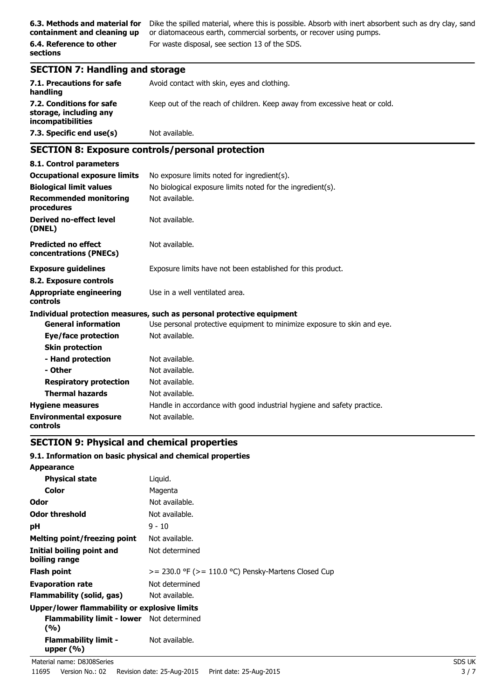**containment and cleaning up**

**6.4. Reference to other sections**

**6.3. Methods and material for** Dike the spilled material, where this is possible. Absorb with inert absorbent such as dry clay, sand or diatomaceous earth, commercial sorbents, or recover using pumps. For waste disposal, see section 13 of the SDS.

## **SECTION 7: Handling and storage**

| 7.1. Precautions for safe<br>handling                                          | Avoid contact with skin, eyes and clothing.                               |
|--------------------------------------------------------------------------------|---------------------------------------------------------------------------|
| 7.2. Conditions for safe<br>storage, including any<br><i>incompatibilities</i> | Keep out of the reach of children. Keep away from excessive heat or cold. |
| 7.3. Specific end use(s)                                                       | Not available.                                                            |

# **SECTION 8: Exposure controls/personal protection**

| 8.1. Control parameters                              |                                                                         |
|------------------------------------------------------|-------------------------------------------------------------------------|
| <b>Occupational exposure limits</b>                  | No exposure limits noted for ingredient(s).                             |
| <b>Biological limit values</b>                       | No biological exposure limits noted for the ingredient(s).              |
| <b>Recommended monitoring</b><br>procedures          | Not available.                                                          |
| <b>Derived no-effect level</b><br>(DNEL)             | Not available.                                                          |
| <b>Predicted no effect</b><br>concentrations (PNECs) | Not available.                                                          |
| <b>Exposure guidelines</b>                           | Exposure limits have not been established for this product.             |
| 8.2. Exposure controls                               |                                                                         |
| <b>Appropriate engineering</b><br>controls           | Use in a well ventilated area.                                          |
|                                                      | Individual protection measures, such as personal protective equipment   |
| <b>General information</b>                           | Use personal protective equipment to minimize exposure to skin and eye. |
| Eye/face protection                                  | Not available.                                                          |
| <b>Skin protection</b>                               |                                                                         |
| - Hand protection                                    | Not available.                                                          |
| - Other                                              | Not available.                                                          |
| <b>Respiratory protection</b>                        | Not available.                                                          |
| <b>Thermal hazards</b>                               | Not available.                                                          |
| <b>Hygiene measures</b>                              | Handle in accordance with good industrial hygiene and safety practice.  |
| <b>Environmental exposure</b><br>controls            | Not available.                                                          |

## **SECTION 9: Physical and chemical properties**

### **9.1. Information on basic physical and chemical properties**

| <b>Appearance</b>                                       |                                                          |
|---------------------------------------------------------|----------------------------------------------------------|
| <b>Physical state</b>                                   | Liquid.                                                  |
| Color                                                   | Magenta                                                  |
| Odor                                                    | Not available.                                           |
| <b>Odor threshold</b>                                   | Not available.                                           |
| рH                                                      | $9 - 10$                                                 |
| <b>Melting point/freezing point</b>                     | Not available.                                           |
| Initial boiling point and<br>boiling range              | Not determined                                           |
| <b>Flash point</b>                                      | $>= 230.0$ °F ( $>= 110.0$ °C) Pensky-Martens Closed Cup |
| <b>Evaporation rate</b>                                 | Not determined                                           |
| Flammability (solid, gas)                               | Not available.                                           |
| Upper/lower flammability or explosive limits            |                                                          |
| <b>Flammability limit - lower</b> Not determined<br>(%) |                                                          |
| <b>Flammability limit -</b><br>upper $(% )$             | Not available.                                           |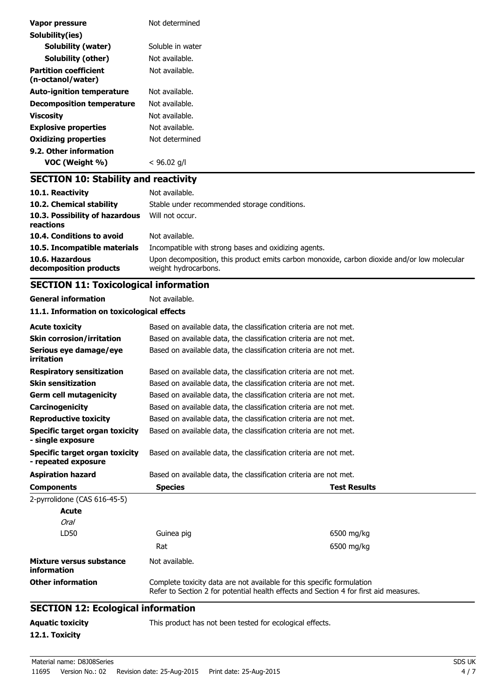| Vapor pressure                                    | Not determined                               |
|---------------------------------------------------|----------------------------------------------|
| Solubility(ies)                                   |                                              |
| Solubility (water)                                | Soluble in water                             |
| Solubility (other)                                | Not available.                               |
| <b>Partition coefficient</b><br>(n-octanol/water) | Not available.                               |
| <b>Auto-ignition temperature</b>                  | Not available.                               |
| <b>Decomposition temperature</b>                  | Not available.                               |
| <b>Viscosity</b>                                  | Not available.                               |
| <b>Explosive properties</b>                       | Not available.                               |
| <b>Oxidizing properties</b>                       | Not determined                               |
| 9.2. Other information                            |                                              |
| VOC (Weight %)                                    | $<$ 96.02 g/l                                |
| <b>SECTION 10: Stability and reactivity</b>       |                                              |
| 10.1. Reactivity                                  | Not available.                               |
| 10.2. Chemical stability                          | Stable under recommended storage conditions. |

| 10.3. Possibility of hazardous<br>reactions | Will not occur.                                                                                                     |
|---------------------------------------------|---------------------------------------------------------------------------------------------------------------------|
| 10.4. Conditions to avoid                   | Not available.                                                                                                      |
| 10.5. Incompatible materials                | Incompatible with strong bases and oxidizing agents.                                                                |
| 10.6. Hazardous<br>decomposition products   | Upon decomposition, this product emits carbon monoxide, carbon dioxide and/or low molecular<br>weight hydrocarbons. |

# **SECTION 11: Toxicological information**

**General information** Not available.

| 11.1. Information on toxicological effects |  |  |  |
|--------------------------------------------|--|--|--|
|--------------------------------------------|--|--|--|

| <b>Acute toxicity</b>                                      | Based on available data, the classification criteria are not met.                                                                                               |                                                                   |  |  |
|------------------------------------------------------------|-----------------------------------------------------------------------------------------------------------------------------------------------------------------|-------------------------------------------------------------------|--|--|
| <b>Skin corrosion/irritation</b>                           | Based on available data, the classification criteria are not met.                                                                                               |                                                                   |  |  |
| Serious eye damage/eye<br>irritation                       | Based on available data, the classification criteria are not met.                                                                                               |                                                                   |  |  |
| <b>Respiratory sensitization</b>                           | Based on available data, the classification criteria are not met.                                                                                               |                                                                   |  |  |
| <b>Skin sensitization</b>                                  |                                                                                                                                                                 | Based on available data, the classification criteria are not met. |  |  |
| <b>Germ cell mutagenicity</b>                              |                                                                                                                                                                 | Based on available data, the classification criteria are not met. |  |  |
| Carcinogenicity                                            |                                                                                                                                                                 | Based on available data, the classification criteria are not met. |  |  |
| <b>Reproductive toxicity</b>                               |                                                                                                                                                                 | Based on available data, the classification criteria are not met. |  |  |
| <b>Specific target organ toxicity</b><br>- single exposure | Based on available data, the classification criteria are not met.                                                                                               |                                                                   |  |  |
| Specific target organ toxicity<br>- repeated exposure      | Based on available data, the classification criteria are not met.                                                                                               |                                                                   |  |  |
| <b>Aspiration hazard</b>                                   | Based on available data, the classification criteria are not met.                                                                                               |                                                                   |  |  |
| <b>Components</b>                                          | <b>Species</b><br><b>Test Results</b>                                                                                                                           |                                                                   |  |  |
| 2-pyrrolidone (CAS 616-45-5)                               |                                                                                                                                                                 |                                                                   |  |  |
| <b>Acute</b>                                               |                                                                                                                                                                 |                                                                   |  |  |
| <b>Oral</b>                                                |                                                                                                                                                                 |                                                                   |  |  |
| LD50                                                       | Guinea pig                                                                                                                                                      | 6500 mg/kg                                                        |  |  |
|                                                            | Rat                                                                                                                                                             | 6500 mg/kg                                                        |  |  |
| Mixture versus substance<br>information                    | Not available.                                                                                                                                                  |                                                                   |  |  |
| <b>Other information</b>                                   | Complete toxicity data are not available for this specific formulation<br>Refer to Section 2 for potential health effects and Section 4 for first aid measures. |                                                                   |  |  |
| <b>SECTION 12: Ecological information</b>                  |                                                                                                                                                                 |                                                                   |  |  |
| <b>Aguatic toxicity</b>                                    | This product has not been tested for ecological effects.                                                                                                        |                                                                   |  |  |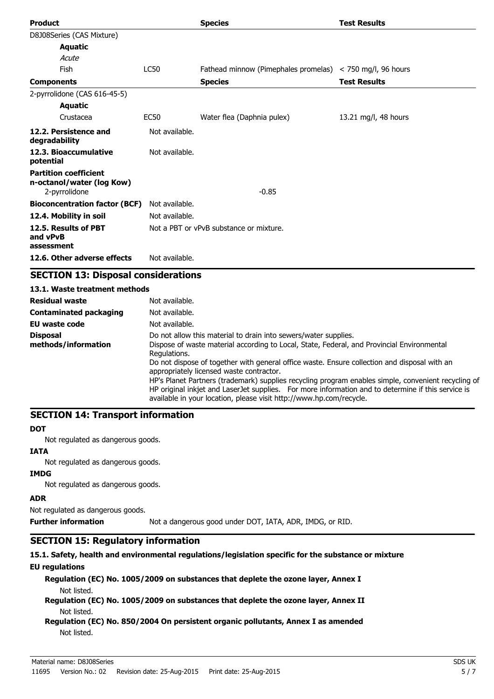| <b>Product</b>                                                             |                | <b>Species</b>                                                    | <b>Test Results</b>  |
|----------------------------------------------------------------------------|----------------|-------------------------------------------------------------------|----------------------|
| D8J08Series (CAS Mixture)                                                  |                |                                                                   |                      |
| <b>Aquatic</b>                                                             |                |                                                                   |                      |
| Acute                                                                      |                |                                                                   |                      |
| Fish                                                                       | <b>LC50</b>    | Fathead minnow (Pimephales promelas) $\langle$ 750 mg/l, 96 hours |                      |
| <b>Components</b>                                                          |                | <b>Species</b>                                                    | <b>Test Results</b>  |
| 2-pyrrolidone (CAS 616-45-5)                                               |                |                                                                   |                      |
| <b>Aquatic</b>                                                             |                |                                                                   |                      |
| Crustacea                                                                  | <b>EC50</b>    | Water flea (Daphnia pulex)                                        | 13.21 mg/l, 48 hours |
| 12.2. Persistence and<br>degradability                                     | Not available. |                                                                   |                      |
| 12.3. Bioaccumulative<br>potential                                         | Not available. |                                                                   |                      |
| <b>Partition coefficient</b><br>n-octanol/water (log Kow)<br>2-pyrrolidone |                | $-0.85$                                                           |                      |
| <b>Bioconcentration factor (BCF)</b>                                       | Not available. |                                                                   |                      |
| 12.4. Mobility in soil                                                     | Not available. |                                                                   |                      |
| 12.5. Results of PBT<br>and vPvB<br>assessment                             |                | Not a PBT or vPvB substance or mixture.                           |                      |
| 12.6. Other adverse effects                                                | Not available. |                                                                   |                      |

# **SECTION 13: Disposal considerations**

| 13.1. Waste treatment methods          |                                                                                                                                                                                                                                                                                                                                                                                                                                                                                                                                                                                                               |
|----------------------------------------|---------------------------------------------------------------------------------------------------------------------------------------------------------------------------------------------------------------------------------------------------------------------------------------------------------------------------------------------------------------------------------------------------------------------------------------------------------------------------------------------------------------------------------------------------------------------------------------------------------------|
| <b>Residual waste</b>                  | Not available.                                                                                                                                                                                                                                                                                                                                                                                                                                                                                                                                                                                                |
| Contaminated packaging                 | Not available.                                                                                                                                                                                                                                                                                                                                                                                                                                                                                                                                                                                                |
| EU waste code                          | Not available.                                                                                                                                                                                                                                                                                                                                                                                                                                                                                                                                                                                                |
| <b>Disposal</b><br>methods/information | Do not allow this material to drain into sewers/water supplies.<br>Dispose of waste material according to Local, State, Federal, and Provincial Environmental<br>Regulations.<br>Do not dispose of together with general office waste. Ensure collection and disposal with an<br>appropriately licensed waste contractor.<br>HP's Planet Partners (trademark) supplies recycling program enables simple, convenient recycling of<br>HP original inkjet and LaserJet supplies. For more information and to determine if this service is<br>available in your location, please visit http://www.hp.com/recycle. |

## **SECTION 14: Transport information**

#### **DOT**

Not regulated as dangerous goods.

#### **IATA**

Not regulated as dangerous goods.

### **IMDG**

Not regulated as dangerous goods.

#### **ADR**

Not regulated as dangerous goods.

**Further information** Not a dangerous good under DOT, IATA, ADR, IMDG, or RID.

# **SECTION 15: Regulatory information**

#### **15.1. Safety, health and environmental regulations/legislation specific for the substance or mixture**

#### **EU regulations**

**Regulation (EC) No. 1005/2009 on substances that deplete the ozone layer, Annex I** Not listed.

**Regulation (EC) No. 1005/2009 on substances that deplete the ozone layer, Annex II** Not listed.

### **Regulation (EC) No. 850/2004 On persistent organic pollutants, Annex I as amended** Not listed.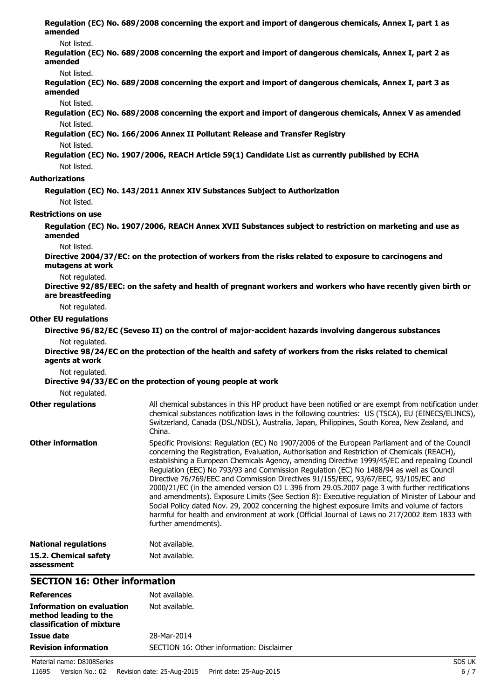| amended                              | Regulation (EC) No. 689/2008 concerning the export and import of dangerous chemicals, Annex I, part 1 as                                                                                                                                                                                                                                                                                                                                                                                                                                                                                                                                                                                                                                                                                                                                                                                                              |  |  |
|--------------------------------------|-----------------------------------------------------------------------------------------------------------------------------------------------------------------------------------------------------------------------------------------------------------------------------------------------------------------------------------------------------------------------------------------------------------------------------------------------------------------------------------------------------------------------------------------------------------------------------------------------------------------------------------------------------------------------------------------------------------------------------------------------------------------------------------------------------------------------------------------------------------------------------------------------------------------------|--|--|
| Not listed.                          |                                                                                                                                                                                                                                                                                                                                                                                                                                                                                                                                                                                                                                                                                                                                                                                                                                                                                                                       |  |  |
| amended                              | Regulation (EC) No. 689/2008 concerning the export and import of dangerous chemicals, Annex I, part 2 as                                                                                                                                                                                                                                                                                                                                                                                                                                                                                                                                                                                                                                                                                                                                                                                                              |  |  |
| Not listed.                          |                                                                                                                                                                                                                                                                                                                                                                                                                                                                                                                                                                                                                                                                                                                                                                                                                                                                                                                       |  |  |
| amended                              | Regulation (EC) No. 689/2008 concerning the export and import of dangerous chemicals, Annex I, part 3 as                                                                                                                                                                                                                                                                                                                                                                                                                                                                                                                                                                                                                                                                                                                                                                                                              |  |  |
| Not listed.                          |                                                                                                                                                                                                                                                                                                                                                                                                                                                                                                                                                                                                                                                                                                                                                                                                                                                                                                                       |  |  |
| Not listed.                          | Regulation (EC) No. 689/2008 concerning the export and import of dangerous chemicals, Annex V as amended                                                                                                                                                                                                                                                                                                                                                                                                                                                                                                                                                                                                                                                                                                                                                                                                              |  |  |
|                                      | Regulation (EC) No. 166/2006 Annex II Pollutant Release and Transfer Registry                                                                                                                                                                                                                                                                                                                                                                                                                                                                                                                                                                                                                                                                                                                                                                                                                                         |  |  |
| Not listed.                          |                                                                                                                                                                                                                                                                                                                                                                                                                                                                                                                                                                                                                                                                                                                                                                                                                                                                                                                       |  |  |
|                                      | Regulation (EC) No. 1907/2006, REACH Article 59(1) Candidate List as currently published by ECHA                                                                                                                                                                                                                                                                                                                                                                                                                                                                                                                                                                                                                                                                                                                                                                                                                      |  |  |
| Not listed.                          |                                                                                                                                                                                                                                                                                                                                                                                                                                                                                                                                                                                                                                                                                                                                                                                                                                                                                                                       |  |  |
| <b>Authorizations</b>                |                                                                                                                                                                                                                                                                                                                                                                                                                                                                                                                                                                                                                                                                                                                                                                                                                                                                                                                       |  |  |
|                                      |                                                                                                                                                                                                                                                                                                                                                                                                                                                                                                                                                                                                                                                                                                                                                                                                                                                                                                                       |  |  |
| Not listed.                          | Regulation (EC) No. 143/2011 Annex XIV Substances Subject to Authorization                                                                                                                                                                                                                                                                                                                                                                                                                                                                                                                                                                                                                                                                                                                                                                                                                                            |  |  |
| <b>Restrictions on use</b>           |                                                                                                                                                                                                                                                                                                                                                                                                                                                                                                                                                                                                                                                                                                                                                                                                                                                                                                                       |  |  |
| amended                              | Regulation (EC) No. 1907/2006, REACH Annex XVII Substances subject to restriction on marketing and use as                                                                                                                                                                                                                                                                                                                                                                                                                                                                                                                                                                                                                                                                                                                                                                                                             |  |  |
| Not listed.                          |                                                                                                                                                                                                                                                                                                                                                                                                                                                                                                                                                                                                                                                                                                                                                                                                                                                                                                                       |  |  |
| mutagens at work                     | Directive 2004/37/EC: on the protection of workers from the risks related to exposure to carcinogens and                                                                                                                                                                                                                                                                                                                                                                                                                                                                                                                                                                                                                                                                                                                                                                                                              |  |  |
| Not regulated.                       |                                                                                                                                                                                                                                                                                                                                                                                                                                                                                                                                                                                                                                                                                                                                                                                                                                                                                                                       |  |  |
| are breastfeeding                    | Directive 92/85/EEC: on the safety and health of pregnant workers and workers who have recently given birth or                                                                                                                                                                                                                                                                                                                                                                                                                                                                                                                                                                                                                                                                                                                                                                                                        |  |  |
| Not regulated.                       |                                                                                                                                                                                                                                                                                                                                                                                                                                                                                                                                                                                                                                                                                                                                                                                                                                                                                                                       |  |  |
| <b>Other EU regulations</b>          |                                                                                                                                                                                                                                                                                                                                                                                                                                                                                                                                                                                                                                                                                                                                                                                                                                                                                                                       |  |  |
|                                      | Directive 96/82/EC (Seveso II) on the control of major-accident hazards involving dangerous substances                                                                                                                                                                                                                                                                                                                                                                                                                                                                                                                                                                                                                                                                                                                                                                                                                |  |  |
| Not regulated.<br>agents at work     | Directive 98/24/EC on the protection of the health and safety of workers from the risks related to chemical                                                                                                                                                                                                                                                                                                                                                                                                                                                                                                                                                                                                                                                                                                                                                                                                           |  |  |
| Not regulated.                       |                                                                                                                                                                                                                                                                                                                                                                                                                                                                                                                                                                                                                                                                                                                                                                                                                                                                                                                       |  |  |
|                                      | Directive 94/33/EC on the protection of young people at work                                                                                                                                                                                                                                                                                                                                                                                                                                                                                                                                                                                                                                                                                                                                                                                                                                                          |  |  |
| Not regulated.                       |                                                                                                                                                                                                                                                                                                                                                                                                                                                                                                                                                                                                                                                                                                                                                                                                                                                                                                                       |  |  |
| <b>Other regulations</b>             | All chemical substances in this HP product have been notified or are exempt from notification under<br>chemical substances notification laws in the following countries: US (TSCA), EU (EINECS/ELINCS),<br>Switzerland, Canada (DSL/NDSL), Australia, Japan, Philippines, South Korea, New Zealand, and<br>China.                                                                                                                                                                                                                                                                                                                                                                                                                                                                                                                                                                                                     |  |  |
| <b>Other information</b>             | Specific Provisions: Regulation (EC) No 1907/2006 of the European Parliament and of the Council<br>concerning the Registration, Evaluation, Authorisation and Restriction of Chemicals (REACH),<br>establishing a European Chemicals Agency, amending Directive 1999/45/EC and repealing Council<br>Regulation (EEC) No 793/93 and Commission Regulation (EC) No 1488/94 as well as Council<br>Directive 76/769/EEC and Commission Directives 91/155/EEC, 93/67/EEC, 93/105/EC and<br>2000/21/EC (in the amended version OJ L 396 from 29.05.2007 page 3 with further rectifications<br>and amendments). Exposure Limits (See Section 8): Executive regulation of Minister of Labour and<br>Social Policy dated Nov. 29, 2002 concerning the highest exposure limits and volume of factors<br>harmful for health and environment at work (Official Journal of Laws no 217/2002 item 1833 with<br>further amendments). |  |  |
| <b>National regulations</b>          | Not available.                                                                                                                                                                                                                                                                                                                                                                                                                                                                                                                                                                                                                                                                                                                                                                                                                                                                                                        |  |  |
| 15.2. Chemical safety<br>assessment  | Not available.                                                                                                                                                                                                                                                                                                                                                                                                                                                                                                                                                                                                                                                                                                                                                                                                                                                                                                        |  |  |
| <b>SECTION 16: Other information</b> |                                                                                                                                                                                                                                                                                                                                                                                                                                                                                                                                                                                                                                                                                                                                                                                                                                                                                                                       |  |  |
| <b>References</b>                    | Not available.                                                                                                                                                                                                                                                                                                                                                                                                                                                                                                                                                                                                                                                                                                                                                                                                                                                                                                        |  |  |
|                                      | Not available.                                                                                                                                                                                                                                                                                                                                                                                                                                                                                                                                                                                                                                                                                                                                                                                                                                                                                                        |  |  |
| <b>Information on evaluation</b>     |                                                                                                                                                                                                                                                                                                                                                                                                                                                                                                                                                                                                                                                                                                                                                                                                                                                                                                                       |  |  |

| method leading to the<br>classification of mixture |                                           |        |
|----------------------------------------------------|-------------------------------------------|--------|
| Issue date                                         | 28-Mar-2014                               |        |
| <b>Revision information</b>                        | SECTION 16: Other information: Disclaimer |        |
| Material name: D8J08Series                         |                                           | SDS UK |